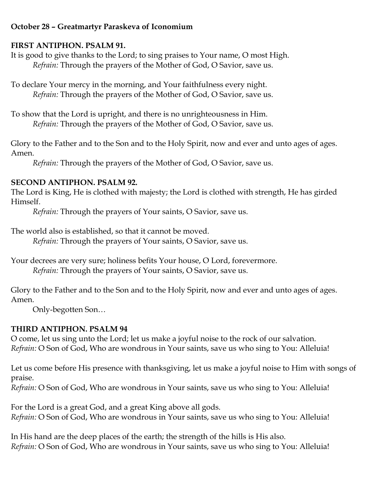# **October 28 – Greatmartyr Paraskeva of Iconomium**

#### **FIRST ANTIPHON. PSALM 91.**

It is good to give thanks to the Lord; to sing praises to Your name, O most High. *Refrain:* Through the prayers of the Mother of God, O Savior, save us.

To declare Your mercy in the morning, and Your faithfulness every night. *Refrain:* Through the prayers of the Mother of God, O Savior, save us.

To show that the Lord is upright, and there is no unrighteousness in Him. *Refrain:* Through the prayers of the Mother of God, O Savior, save us.

Glory to the Father and to the Son and to the Holy Spirit, now and ever and unto ages of ages. Amen.

*Refrain:* Through the prayers of the Mother of God, O Savior, save us.

### **SECOND ANTIPHON. PSALM 92.**

The Lord is King, He is clothed with majesty; the Lord is clothed with strength, He has girded Himself.

*Refrain:* Through the prayers of Your saints, O Savior, save us.

The world also is established, so that it cannot be moved.

*Refrain:* Through the prayers of Your saints, O Savior, save us.

Your decrees are very sure; holiness befits Your house, O Lord, forevermore. *Refrain:* Through the prayers of Your saints, O Savior, save us.

Glory to the Father and to the Son and to the Holy Spirit, now and ever and unto ages of ages. Amen.

Only-begotten Son…

# **THIRD ANTIPHON. PSALM 94**

O come, let us sing unto the Lord; let us make a joyful noise to the rock of our salvation. *Refrain:* O Son of God, Who are wondrous in Your saints, save us who sing to You: Alleluia!

Let us come before His presence with thanksgiving, let us make a joyful noise to Him with songs of praise.

*Refrain:* O Son of God, Who are wondrous in Your saints, save us who sing to You: Alleluia!

For the Lord is a great God, and a great King above all gods. *Refrain:* O Son of God, Who are wondrous in Your saints, save us who sing to You: Alleluia!

In His hand are the deep places of the earth; the strength of the hills is His also. *Refrain:* O Son of God, Who are wondrous in Your saints, save us who sing to You: Alleluia!